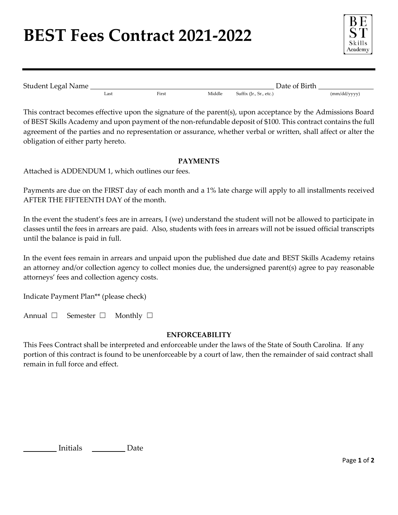## **BEST Fees Contract 2021-2022**



| Student Legal Name |      |       |        |                         | Date of Birth |              |  |
|--------------------|------|-------|--------|-------------------------|---------------|--------------|--|
|                    | ∟ast | First | Middle | Suffix (Jr., Sr., etc.) |               | (mm/dd/yyyy) |  |

This contract becomes effective upon the signature of the parent(s), upon acceptance by the Admissions Board of BEST Skills Academy and upon payment of the non-refundable deposit of \$100. This contract contains the full agreement of the parties and no representation or assurance, whether verbal or written, shall affect or alter the obligation of either party hereto.

## **PAYMENTS**

Attached is ADDENDUM 1, which outlines our fees.

Payments are due on the FIRST day of each month and a 1% late charge will apply to all installments received AFTER THE FIFTEENTH DAY of the month.

In the event the student's fees are in arrears, I (we) understand the student will not be allowed to participate in classes until the fees in arrears are paid. Also, students with fees in arrears will not be issued official transcripts until the balance is paid in full.

In the event fees remain in arrears and unpaid upon the published due date and BEST Skills Academy retains an attorney and/or collection agency to collect monies due, the undersigned parent(s) agree to pay reasonable attorneys' fees and collection agency costs.

Indicate Payment Plan\*\* (please check)

| Annual $\square$ |  | Semester $\Box$ |  | Monthly $\Box$ |  |
|------------------|--|-----------------|--|----------------|--|
|------------------|--|-----------------|--|----------------|--|

### **ENFORCEABILITY**

This Fees Contract shall be interpreted and enforceable under the laws of the State of South Carolina. If any portion of this contract is found to be unenforceable by a court of law, then the remainder of said contract shall remain in full force and effect.

Initials <u>\_\_\_\_\_\_\_\_\_\_</u> Date